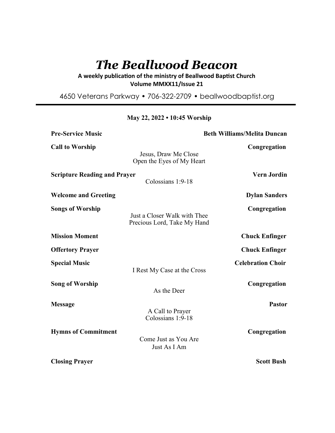# *The Beallwood Beacon*

# A weekly publication of the ministry of Beallwood Baptist Church **Volume MMXX11/Issue 21**

4650 Veterans Parkway • 706-322-2709 • beallwoodbaptist.org

| <b>Pre-Service Music</b>            |                                                             | <b>Beth Williams/Melita Duncan</b> |
|-------------------------------------|-------------------------------------------------------------|------------------------------------|
| <b>Call to Worship</b>              | Jesus, Draw Me Close<br>Open the Eyes of My Heart           | Congregation                       |
| <b>Scripture Reading and Prayer</b> | Colossians 1:9-18                                           | <b>Vern Jordin</b>                 |
| <b>Welcome and Greeting</b>         |                                                             | <b>Dylan Sanders</b>               |
| <b>Songs of Worship</b>             | Just a Closer Walk with Thee<br>Precious Lord, Take My Hand | Congregation                       |
| <b>Mission Moment</b>               |                                                             | <b>Chuck Enfinger</b>              |
| <b>Offertory Prayer</b>             |                                                             | <b>Chuck Enfinger</b>              |
| <b>Special Music</b>                | I Rest My Case at the Cross                                 | <b>Celebration Choir</b>           |
| <b>Song of Worship</b>              | As the Deer                                                 | Congregation                       |
| <b>Message</b>                      | A Call to Prayer<br>Colossians 1:9-18                       | <b>Pastor</b>                      |
| <b>Hymns of Commitment</b>          | Come Just as You Are<br>Just As I Am                        | Congregation                       |
| <b>Closing Prayer</b>               |                                                             | <b>Scott Bush</b>                  |

## **May 22, 2022 • 10:45 Worship**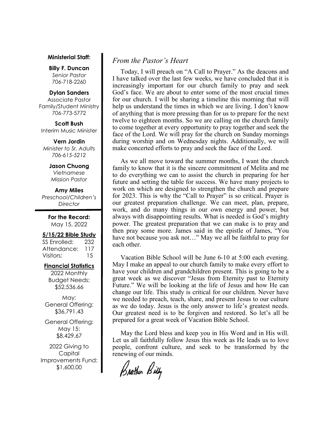#### **Ministerial Staff:**

**Billy F. Duncan** *Senior Pastor*  706-718-2260

### **Dylan Sanders**

Associate Pastor Family/Student Ministry 706-773-5772

**Scott Bush**  Interim Music Minister

**Vern Jordin** *Minister to Sr. Adults 706-615-5212* 

# **Jason Chuong**

*Vietnamese Mission Pastor* 

**Amy Miles** *Preschool/Children's Director* 

> **For the Record:**  May 15, 2022

### **5/15/22 Bible Study**

SS Enrolled: 232 Attendance: 117 Visitors: 15

### **Financial Statistics**

2022 Monthly Budget Needs: \$52,536.66

May: General Offering: \$36,791.43

General Offering: May 15: \$8,429.67

2022 Giving to Capital Improvements Fund: \$1,600.00

# *From the Pastor's Heart*

 Today, I will preach on "A Call to Prayer." As the deacons and I have talked over the last few weeks, we have concluded that it is increasingly important for our church family to pray and seek God's face. We are about to enter some of the most crucial times for our church. I will be sharing a timeline this morning that will help us understand the times in which we are living. I don't know of anything that is more pressing than for us to prepare for the next twelve to eighteen months. So we are calling on the church family to come together at every opportunity to pray together and seek the face of the Lord. We will pray for the church on Sunday mornings during worship and on Wednesday nights. Additionally, we will make concerted efforts to pray and seek the face of the Lord.

 As we all move toward the summer months, I want the church family to know that it is the sincere commitment of Melita and me to do everything we can to assist the church in preparing for her future and setting the table for success. We have many projects to work on which are designed to strengthen the church and prepare for 2023. This is why the "Call to Prayer" is so critical. Prayer is our greatest preparation challenge. We can meet, plan, prepare, work, and do many things in our own energy and power, but always with disappointing results. What is needed is God's mighty power. The greatest preparation that we can make is to pray and then pray some more. James said in the epistle of James, "You have not because you ask not…" May we all be faithful to pray for each other.

 Vacation Bible School will be June 6-10 at 5:00 each evening. May I make an appeal to our church family to make every effort to have your children and grandchildren present. This is going to be a great week as we discover "Jesus from Eternity past to Eternity Future." We will be looking at the life of Jesus and how He can change our life. This study is critical for our children. Never have we needed to preach, teach, share, and present Jesus to our culture as we do today. Jesus is the only answer to life's greatest needs. Our greatest need is to be forgiven and restored. So let's all be prepared for a great week of Vacation Bible School.

 May the Lord bless and keep you in His Word and in His will. Let us all faithfully follow Jesus this week as He leads us to love people, confront culture, and seek to be transformed by the renewing of our minds.

Brother Billy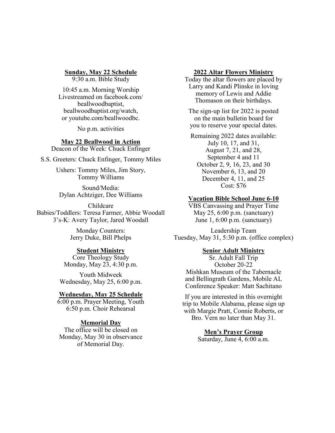**Sunday, May 22 Schedule**

9:30 a.m. Bible Study

10:45 a.m. Morning Worship Livestreamed on facebook.com/ beallwoodbaptist, beallwoodbaptist.org/watch, or youtube.com/beallwoodbc.

No p.m. activities

# **May 22 Beallwood in Action**

Deacon of the Week: Chuck Enfinger

S.S. Greeters: Chuck Enfinger, Tommy Miles

Ushers: Tommy Miles, Jim Story, Tommy Williams

Sound/Media: Dylan Achtziger, Dee Williams

Childcare Babies/Toddlers: Teresa Farmer, Abbie Woodall 3's-K: Avery Taylor, Jared Woodall

> Monday Counters: Jerry Duke, Bill Phelps

### **Student Ministry**

Core Theology Study Monday, May 23, 4:30 p.m.

Youth Midweek Wednesday, May 25, 6:00 p.m.

### **Wednesday, May 25 Schedule**

6:00 p.m. Prayer Meeting, Youth 6:50 p.m. Choir Rehearsal

### **Memorial Day**

The office will be closed on Monday, May 30 in observance of Memorial Day.

### **2022 Altar Flowers Ministry**

Today the altar flowers are placed by Larry and Kandi Plinske in loving memory of Lewis and Addie Thomason on their birthdays.

The sign-up list for 2022 is posted on the main bulletin board for you to reserve your special dates.

Remaining 2022 dates available: July 10, 17, and 31, August 7, 21, and 28, September 4 and 11 October 2, 9, 16, 23, and 30 November 6, 13, and 20 December 4, 11, and 25 Cost: \$76

### **Vacation Bible School June 6-10**

VBS Canvassing and Prayer Time May 25, 6:00 p.m. (sanctuary) June 1, 6:00 p.m. (sanctuary)

Leadership Team Tuesday, May 31, 5:30 p.m. (office complex)

### **Senior Adult Ministry**

Sr. Adult Fall Trip October 20-22 Mishkan Museum of the Tabernacle and Bellingrath Gardens, Mobile AL Conference Speaker: Matt Sachitano

If you are interested in this overnight trip to Mobile Alabama, please sign up with Margie Pratt, Connie Roberts, or Bro. Vern no later than May 31.

> **Men's Prayer Group** Saturday, June 4, 6:00 a.m.